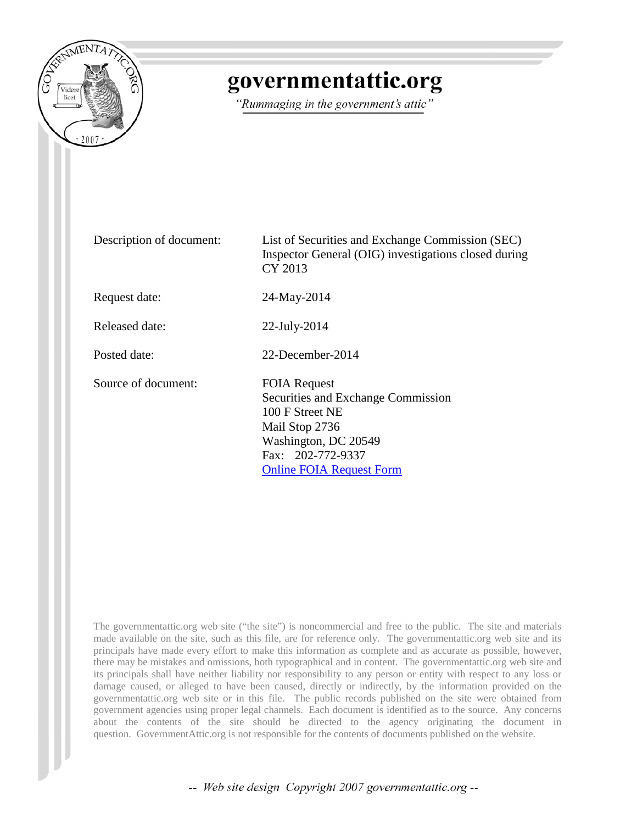

## governmentattic.org

"Rummaging in the government's attic"

Description of document: List of Securities and Exchange Commission (SEC) Inspector General (OIG) investigations closed during CY 2013 Request date: 24-May-2014 Released date: 22-July-2014 Posted date: 22-December-2014 Source of document: FOIA Request Securities and Exchange Commission 100 F Street NE Mail Stop 2736 Washington, DC 20549 Fax: 202-772-9337 [Online FOIA Request Form](https://tts.sec.gov/cgi-bin/request_public_docs)

The governmentattic.org web site ("the site") is noncommercial and free to the public. The site and materials made available on the site, such as this file, are for reference only. The governmentattic.org web site and its principals have made every effort to make this information as complete and as accurate as possible, however, there may be mistakes and omissions, both typographical and in content. The governmentattic.org web site and its principals shall have neither liability nor responsibility to any person or entity with respect to any loss or damage caused, or alleged to have been caused, directly or indirectly, by the information provided on the governmentattic.org web site or in this file. The public records published on the site were obtained from government agencies using proper legal channels. Each document is identified as to the source. Any concerns about the contents of the site should be directed to the agency originating the document in question. GovernmentAttic.org is not responsible for the contents of documents published on the website.

-- Web site design Copyright 2007 governmentattic.org --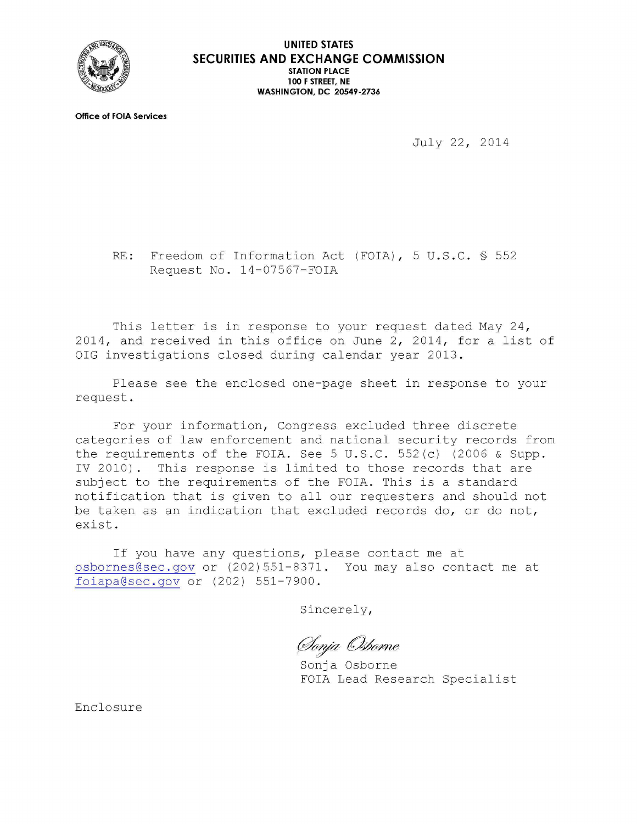

**Office of FOIA Services** 

July 22, 2014

RE: Freedom of Information Act (FOIA), 5 U.S.C. § 552 Request No. 14-07567-FOIA

This letter is in response to your request dated May 24, 2014, and received in this office on June 2, 2014, for a list of OIG investigations closed during calendar year 2013.

Please see the enclosed one-page sheet in response to your request.

For your information, Congress excluded three discrete categories of law enforcement and national security records from the requirements of the FOIA. See 5 U.S.C. 552(c) (2006 & Supp. IV 2010). This response is limited to those records that are subject to the requirements of the FOIA. This is a standard notification that is given to all our requesters and should not be taken as an indication that excluded records do, or do not, exist.

If you have any questions, please contact me at osbornes@sec . gov or (202)551-8371. You may also contact me at foi apa@sec.gov or (202) 551-7900.

Sincerely,

(Ionja Osborne

Sonja Osborne FOIA Lead Research Specialist

Enclosure